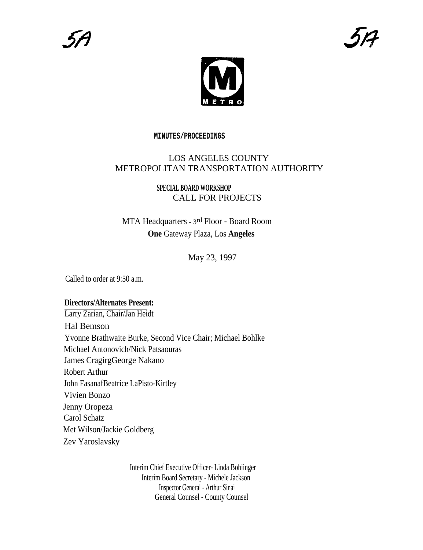

### **MINUTES/PROCEEDINGS**

# LOS ANGELES COUNTY METROPOLITAN TRANSPORTATION AUTHORITY

# **SPECIAL BOARD WORKSHOP** CALL FOR PROJECTS

# MTA Headquarters - 3rd Floor - Board Room **One** Gateway Plaza, Los **Angeles**

# May 23, 1997

Called to order at 9:50 a.m.

# **Directors/Alternates Present:**

Larry Zarian, Chair/Jan Heidt Hal Bemson Yvonne Brathwaite Burke, Second Vice Chair; Michael Bohlke Michael Antonovich/Nick Patsaouras James CragirgGeorge Nakano Robert Arthur John FasanafBeatrice LaPisto-Kirtley Vivien Bonzo Jenny Oropeza Carol Schatz Met Wilson/Jackie Goldberg Zev Yaroslavsky

> Interim Chief Executive Officer- Linda Bohiinger Interim Board Secretary - Michele Jackson Inspector General - Arthur Sinai General Counsel - County Counsel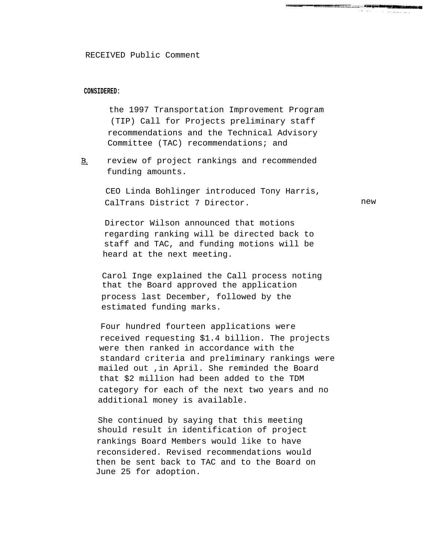#### **CONSIDERED:**

the 1997 Transportation Improvement Program (TIP) Call for Projects preliminary staff recommendations and the Technical Advisory Committee (TAC) recommendations; and

review of project rankings and recommended  $B<sub>1</sub>$ funding amounts.

> CEO Linda Bohlinger introduced Tony Harris, CalTrans District 7 Director.

Director Wilson announced that motions regarding ranking will be directed back to staff and TAC, and funding motions will be heard at the next meeting.

Carol Inge explained the Call process noting that the Board approved the application process last December, followed by the estimated funding marks.

Four hundred fourteen applications were received requesting \$1.4 billion. The projects were then ranked in accordance with the standard criteria and preliminary rankings were mailed out ,in April. She reminded the Board that \$2 million had been added to the TDM category for each of the next two years and no additional money is available.

She continued by saying that this meeting should result in identification of project rankings Board Members would like to have reconsidered. Revised recommendations would then be sent back to TAC and to the Board on June 25 for adoption.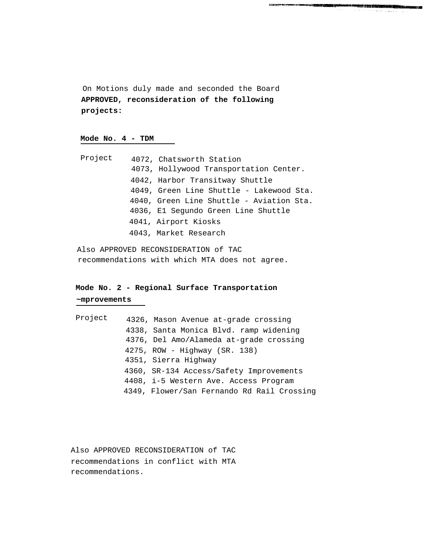On Motions duly made and seconded the Board **APPROVED, reconsideration of the following projects:**

222212327040

### **Mode No. 4 - TDM**

| Project | 4072, Chatsworth Station                 |
|---------|------------------------------------------|
|         | 4073, Hollywood Transportation Center.   |
|         | 4042, Harbor Transitway Shuttle          |
|         | 4049, Green Line Shuttle - Lakewood Sta. |
|         | 4040, Green Line Shuttle - Aviation Sta. |
|         | 4036, El Segundo Green Line Shuttle      |
|         | 4041, Airport Kiosks                     |
|         | 4043, Market Research                    |

Also APPROVED RECONSIDERATION of TAC recommendations with which MTA does not agree.

# **Mode No. 2 - Regional Surface Transportation ~mprovements**

| Project | 4326, Mason Avenue at-grade crossing       |
|---------|--------------------------------------------|
|         | 4338, Santa Monica Blvd. ramp widening     |
|         | 4376, Del Amo/Alameda at-grade crossing    |
|         | $4275$ , ROW - Highway (SR. 138)           |
|         | 4351, Sierra Highway                       |
|         | 4360, SR-134 Access/Safety Improvements    |
|         | 4408, i-5 Western Ave. Access Program      |
|         | 4349, Flower/San Fernando Rd Rail Crossing |

Also APPROVED RECONSIDERATION of TAC recommendations in conflict with MTA recommendations.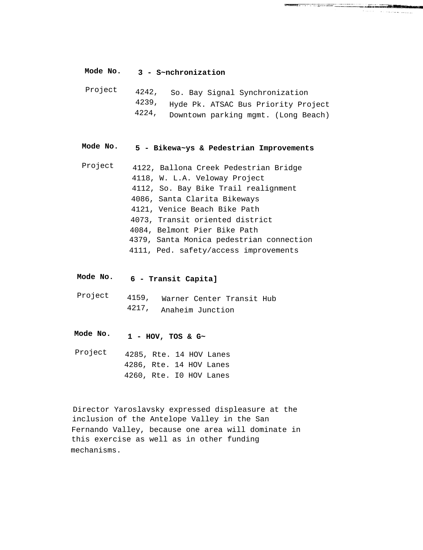### **Mode No. 3 - S~nchronization**

| Project |       | 4242, So. Bay Signal Synchronization      |
|---------|-------|-------------------------------------------|
|         |       | 4239, Hyde Pk. ATSAC Bus Priority Project |
|         | 4224, | Downtown parking mgmt. (Long Beach)       |

**STATISTIC IN THE RESERVATION COMMUNICATION** 

#### **Mode No. 5 - Bikewa~ys & Pedestrian Improvements**

- Project 4122, Ballona Creek Pedestrian Bridge 4118, W. L.A. Veloway Project 4112, So. Bay Bike Trail realignment 4086, Santa Clarita Bikeways 4121, Venice Beach Bike Path 4073, Transit oriented district 4084, Belmont Pier Bike Path 4379, Santa Monica pedestrian connection 4111, Ped. safety/access improvements
- **Mode No. 6 - Transit Capita]**

Project 4159, Warner Center Transit Hub 4217, Anaheim Junction

- **Mode No. 1 - HOV, TOS & G~**
- Project 4285, Rte. 14 HOV Lanes 4286, Rte. 14 HOV Lanes 4260, Rte. I0 HOV Lanes

Director Yaroslavsky expressed displeasure at the inclusion of the Antelope Valley in the San Fernando Valley, because one area will dominate in this exercise as well as in other funding mechanisms.